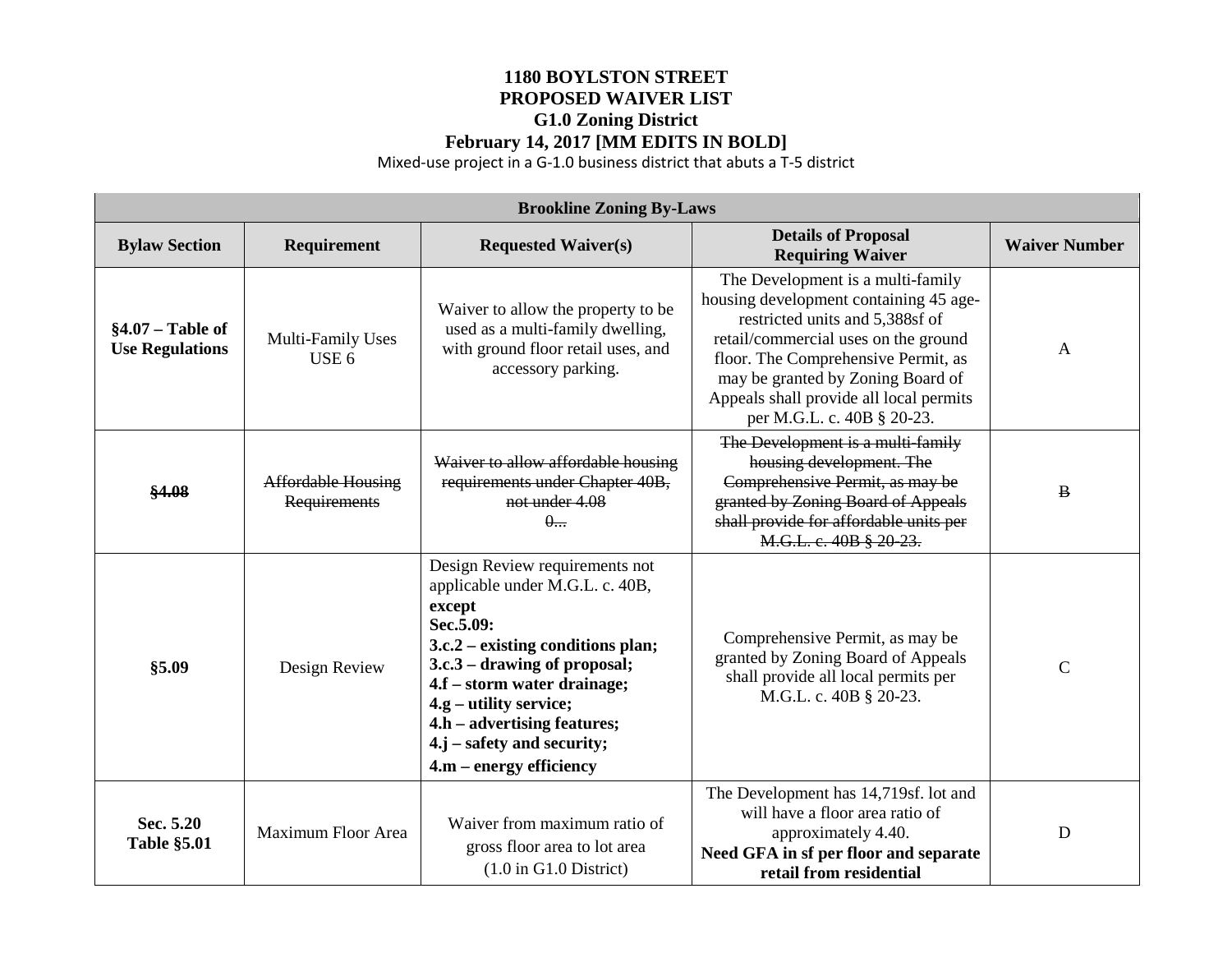## **1180 BOYLSTON STREET PROPOSED WAIVER LIST G1.0 Zoning District February 14, 2017 [MM EDITS IN BOLD]**

Mixed-use project in a G-1.0 business district that abuts a T-5 district

| <b>Brookline Zoning By-Laws</b>              |                                           |                                                                                                                                                                                                                                                                                                                      |                                                                                                                                                                                                                                                                                                             |                      |  |  |  |
|----------------------------------------------|-------------------------------------------|----------------------------------------------------------------------------------------------------------------------------------------------------------------------------------------------------------------------------------------------------------------------------------------------------------------------|-------------------------------------------------------------------------------------------------------------------------------------------------------------------------------------------------------------------------------------------------------------------------------------------------------------|----------------------|--|--|--|
| <b>Bylaw Section</b>                         | Requirement                               | <b>Requested Waiver(s)</b>                                                                                                                                                                                                                                                                                           | <b>Details of Proposal</b><br><b>Requiring Waiver</b>                                                                                                                                                                                                                                                       | <b>Waiver Number</b> |  |  |  |
| $§4.07 - Table of$<br><b>Use Regulations</b> | Multi-Family Uses<br>USE <sub>6</sub>     | Waiver to allow the property to be<br>used as a multi-family dwelling,<br>with ground floor retail uses, and<br>accessory parking.                                                                                                                                                                                   | The Development is a multi-family<br>housing development containing 45 age-<br>restricted units and 5,388sf of<br>retail/commercial uses on the ground<br>floor. The Comprehensive Permit, as<br>may be granted by Zoning Board of<br>Appeals shall provide all local permits<br>per M.G.L. c. 40B § 20-23. | $\mathbf{A}$         |  |  |  |
| \$4.08                                       | <b>Affordable Housing</b><br>Requirements | Waiver to allow affordable housing<br>requirements under Chapter 40B,<br>not under 4.08<br>$\theta$                                                                                                                                                                                                                  | The Development is a multi-family<br>housing development. The<br>Comprehensive Permit, as may be<br>granted by Zoning Board of Appeals<br>shall provide for affordable units per<br>M.G.L. c. 40B § 20-23.                                                                                                  | $\bf{B}$             |  |  |  |
| \$5.09                                       | Design Review                             | Design Review requirements not<br>applicable under M.G.L. c. 40B,<br>except<br>Sec.5.09:<br>$3.c.2$ – existing conditions plan;<br>3.c.3 – drawing of proposal;<br>4.f – storm water drainage;<br>4.g – utility service;<br>4.h – advertising features;<br>$4.j - safety$ and security;<br>$4.m - energy efficiency$ | Comprehensive Permit, as may be<br>granted by Zoning Board of Appeals<br>shall provide all local permits per<br>M.G.L. c. 40B § 20-23.                                                                                                                                                                      | $\mathcal{C}$        |  |  |  |
| Sec. 5.20<br><b>Table §5.01</b>              | Maximum Floor Area                        | Waiver from maximum ratio of<br>gross floor area to lot area<br>$(1.0 \text{ in } G1.0 \text{ District})$                                                                                                                                                                                                            | The Development has 14,719sf. lot and<br>will have a floor area ratio of<br>approximately 4.40.<br>Need GFA in sf per floor and separate<br>retail from residential                                                                                                                                         | D                    |  |  |  |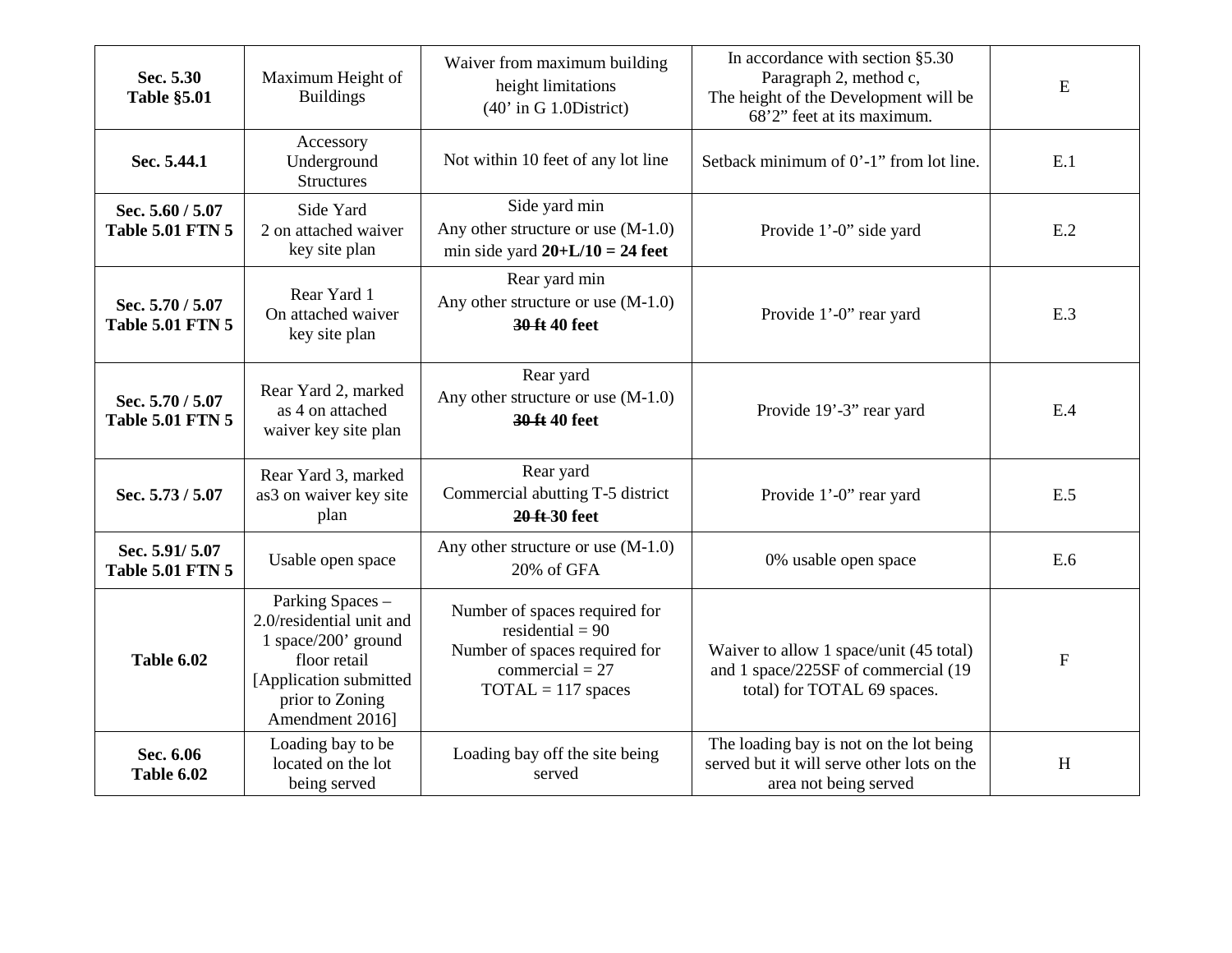| Sec. 5.30<br><b>Table §5.01</b>             | Maximum Height of<br><b>Buildings</b>                                                                                                               | Waiver from maximum building<br>height limitations<br>$(40'$ in G 1.0District)                                                    | In accordance with section $§ 5.30$<br>Paragraph 2, method c,<br>The height of the Development will be<br>68'2" feet at its maximum. | $\mathbf E$  |
|---------------------------------------------|-----------------------------------------------------------------------------------------------------------------------------------------------------|-----------------------------------------------------------------------------------------------------------------------------------|--------------------------------------------------------------------------------------------------------------------------------------|--------------|
| Sec. 5.44.1                                 | Accessory<br>Underground<br><b>Structures</b>                                                                                                       | Not within 10 feet of any lot line                                                                                                | Setback minimum of 0'-1" from lot line.                                                                                              | E.1          |
| Sec. 5.60 / 5.07<br><b>Table 5.01 FTN 5</b> | Side Yard<br>2 on attached waiver<br>key site plan                                                                                                  | Side yard min<br>Any other structure or use (M-1.0)<br>min side yard $20+L/10 = 24$ feet                                          | Provide 1'-0" side yard                                                                                                              | E.2          |
| Sec. 5.70 / 5.07<br><b>Table 5.01 FTN 5</b> | Rear Yard 1<br>On attached waiver<br>key site plan                                                                                                  | Rear yard min<br>Any other structure or use $(M-1.0)$<br>30 ft 40 feet                                                            | Provide 1'-0" rear yard                                                                                                              | E.3          |
| Sec. 5.70 / 5.07<br><b>Table 5.01 FTN 5</b> | Rear Yard 2, marked<br>as 4 on attached<br>waiver key site plan                                                                                     | Rear yard<br>Any other structure or use $(M-1.0)$<br>30 ft 40 feet                                                                | Provide 19'-3" rear yard                                                                                                             | E.4          |
| Sec. 5.73 / 5.07                            | Rear Yard 3, marked<br>as3 on waiver key site<br>plan                                                                                               | Rear yard<br>Commercial abutting T-5 district<br>20 ft 30 feet                                                                    | Provide 1'-0" rear yard                                                                                                              | E.5          |
| Sec. 5.91/5.07<br><b>Table 5.01 FTN 5</b>   | Usable open space                                                                                                                                   | Any other structure or use $(M-1.0)$<br>20% of GFA                                                                                | 0% usable open space                                                                                                                 | E.6          |
| <b>Table 6.02</b>                           | Parking Spaces -<br>2.0/residential unit and<br>1 space/200' ground<br>floor retail<br>[Application submitted<br>prior to Zoning<br>Amendment 2016] | Number of spaces required for<br>residential = $90$<br>Number of spaces required for<br>commercial = $27$<br>$TOTAL = 117$ spaces | Waiver to allow 1 space/unit (45 total)<br>and 1 space/225SF of commercial (19<br>total) for TOTAL 69 spaces.                        | $\mathbf{F}$ |
| Sec. 6.06<br>Table 6.02                     | Loading bay to be<br>located on the lot<br>being served                                                                                             | Loading bay off the site being<br>served                                                                                          | The loading bay is not on the lot being<br>served but it will serve other lots on the<br>area not being served                       | H            |